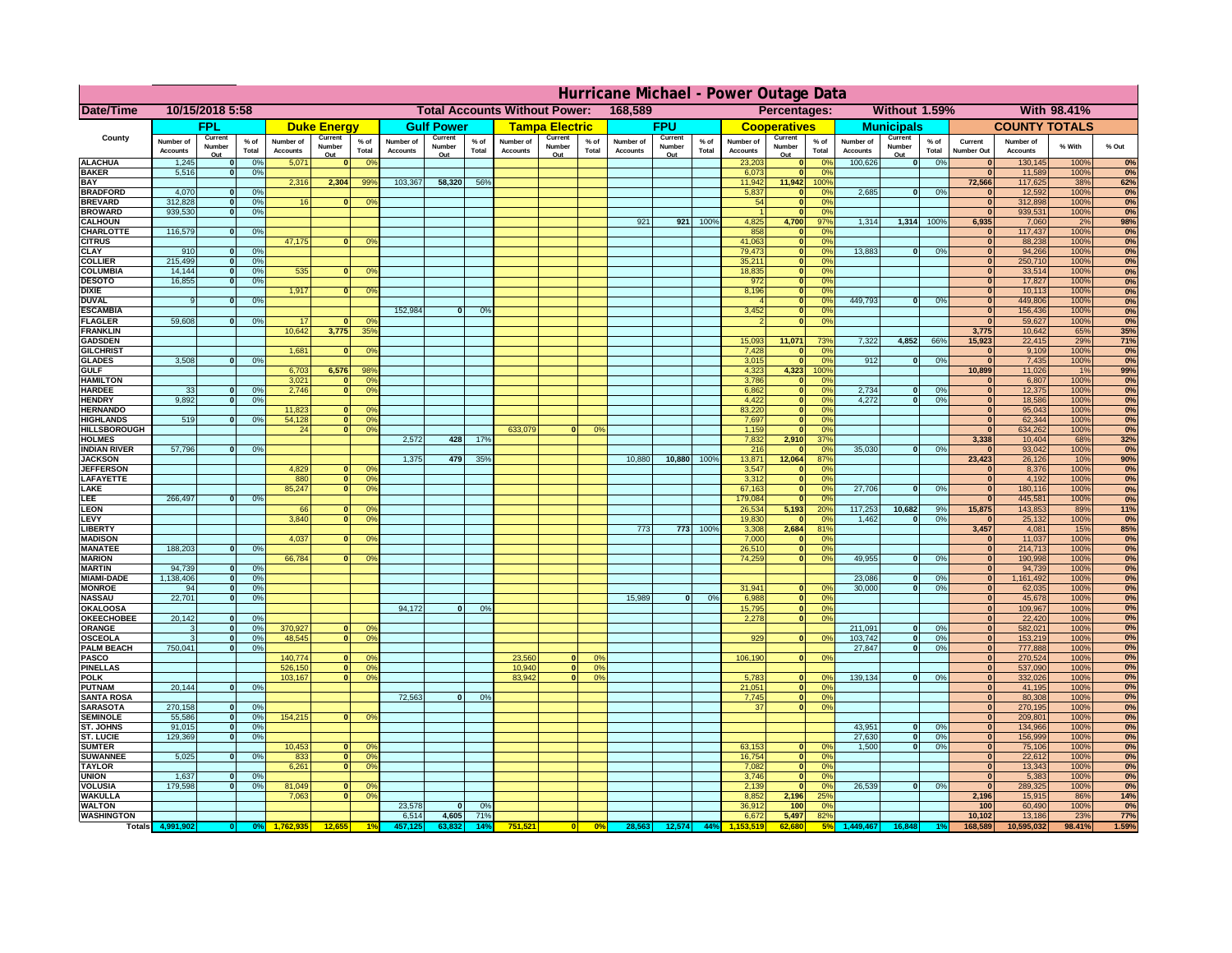|                                      | Hurricane Michael - Power Outage Data |                   |                                  |                              |                      |                                                 |                              |                          |                 |                              |                                              |                 |                       |                          |                 |                              |                        |                       |                              |                         |                 |                                |                              |              |           |
|--------------------------------------|---------------------------------------|-------------------|----------------------------------|------------------------------|----------------------|-------------------------------------------------|------------------------------|--------------------------|-----------------|------------------------------|----------------------------------------------|-----------------|-----------------------|--------------------------|-----------------|------------------------------|------------------------|-----------------------|------------------------------|-------------------------|-----------------|--------------------------------|------------------------------|--------------|-----------|
| <b>Date/Time</b>                     | 10/15/2018 5:58                       |                   |                                  |                              |                      | 168,589<br><b>Total Accounts Without Power:</b> |                              |                          |                 |                              | Without 1.59%<br>With 98.41%<br>Percentages: |                 |                       |                          |                 |                              |                        |                       |                              |                         |                 |                                |                              |              |           |
|                                      |                                       | <b>FPL</b>        |                                  |                              | <b>Duke Energy</b>   |                                                 |                              | <b>Gulf Power</b>        |                 |                              | <b>Tampa Electric</b>                        |                 |                       | <b>FPU</b>               |                 |                              | <b>Cooperatives</b>    |                       |                              | <b>Municipals</b>       |                 |                                | <b>COUNTY TOTALS</b>         |              |           |
| County                               | Number of<br><b>Accounts</b>          | Current<br>Number | % of<br>Total                    | Number of<br><b>Accounts</b> | Current<br>Number    | $%$ of<br>Total                                 | Number of<br><b>Accounts</b> | Current<br>Number<br>Out | $%$ of<br>Total | Number of<br><b>Accounts</b> | Current<br>Number                            | $%$ of<br>Total | Number of<br>Accounts | Current<br>Number<br>Out | $%$ of<br>Total | Number of<br><b>Accounts</b> | Current<br>Number      | $%$ of<br>Total       | Number of<br><b>Accounts</b> | Current<br>Number       | $%$ of<br>Total | Current<br><b>Number Out</b>   | Number of<br><b>Accounts</b> | % With       | % Out     |
| <b>ALACHUA</b>                       | 1,245                                 | Out               | 0 <sup>9</sup>                   | 5,071                        | Out<br>$\bf{0}$      | 0 <sup>9</sup>                                  |                              |                          |                 |                              | Out                                          |                 |                       |                          |                 | 23,203                       | Out<br>$\mathbf{0}$    | 0 <sup>9</sup>        | 100,626                      | Out<br> 0               | 0%              | $\bf{0}$                       | 130,145                      | 100%         | 0%        |
| <b>BAKER</b>                         | 5,516                                 |                   | 0%                               |                              |                      |                                                 |                              |                          |                 |                              |                                              |                 |                       |                          |                 | 6,073                        | ō                      | 0%                    |                              |                         |                 | $\bf{0}$                       | 11,589                       | 100%         | 0%        |
| <b>BAY</b><br><b>BRADFORD</b>        | 4,070                                 |                   | 0 <sup>9</sup>                   | 2,316                        | 2,304                | 99%                                             | 103,367                      | 58,320                   | 56%             |                              |                                              |                 |                       |                          |                 | 11,942<br>5,837              | 11,942<br>$\mathbf{0}$ | 100%<br>0%            | 2,685                        | $\overline{\mathbf{0}}$ | 0%              | 72,566<br>$\bf{0}$             | 117,625<br>12,592            | 38%<br>100%  | 62%<br>0% |
| <b>BREVARD</b>                       | 312,828                               |                   | 0 <sup>9</sup>                   | 16                           | $\mathbf{0}$         | 0%                                              |                              |                          |                 |                              |                                              |                 |                       |                          |                 | 54                           | $\mathbf{0}$           | 0%                    |                              |                         |                 | $\mathbf{0}$                   | 312,898                      | 100%         | 0%        |
| <b>BROWARD</b>                       | 939.530                               |                   | 0 <sup>9</sup>                   |                              |                      |                                                 |                              |                          |                 |                              |                                              |                 |                       |                          |                 |                              | $\mathbf{0}$           | 0%                    |                              |                         |                 | $\bf{0}$                       | 939,531                      | 100%         | 0%        |
| <b>CALHOUN</b><br>CHARLOTTE          | 116,579                               |                   | 0%                               |                              |                      |                                                 |                              |                          |                 |                              |                                              |                 | 921                   | 921                      | 100%            | 4,825<br>858                 | 4,700<br>$\mathbf 0$   | 97%<br>0%             | 1,314                        | 1,314 100%              |                 | 6,935<br>$\bf{0}$              | 7,060<br>117,437             | 2%<br>100%   | 98%<br>0% |
| <b>CITRUS</b>                        |                                       |                   |                                  | 47,175                       | $\bf{0}$             | 0 <sup>9</sup>                                  |                              |                          |                 |                              |                                              |                 |                       |                          |                 | 41,063                       | $\mathbf{0}$           | 0 <sup>9</sup>        |                              |                         |                 | $\bf{0}$                       | 88,238                       | 100%         | 0%        |
| <b>CLAY</b>                          | 910                                   |                   | 0 <sup>9</sup>                   |                              |                      |                                                 |                              |                          |                 |                              |                                              |                 |                       |                          |                 | 79,473                       | $\mathbf{0}$           | 0 <sup>9</sup>        | 13,883                       | $\mathbf{0}$            | 0%              | $\bf{0}$                       | 94,266                       | 100%         | 0%        |
| <b>COLLIER</b>                       | 215,499                               |                   | 0 <sup>9</sup>                   |                              |                      |                                                 |                              |                          |                 |                              |                                              |                 |                       |                          |                 | 35,211                       | $\mathbf{0}$           | 0%                    |                              |                         |                 | $\bf{0}$                       | 250,710                      | 100%         | 0%        |
| <b>COLUMBIA</b><br><b>DESOTO</b>     | 14,144<br>16,855                      |                   | 0 <sup>9</sup><br>0 <sup>9</sup> | 535                          | $\bf{0}$             | 0 <sup>9</sup>                                  |                              |                          |                 |                              |                                              |                 |                       |                          |                 | 18,835<br>972                | ō<br>ō                 | 0%<br>0%              |                              |                         |                 | $\bf{0}$<br>$\bf{0}$           | 33,514<br>17,827             | 100%<br>100% | 0%<br>0%  |
| <b>DIXIE</b>                         |                                       |                   |                                  | 1,917                        | $\mathbf{0}$         | 0 <sup>o</sup>                                  |                              |                          |                 |                              |                                              |                 |                       |                          |                 | 8,196                        | $\mathbf{0}$           | nº                    |                              |                         |                 | $\bf{0}$                       | 10,113                       | 100%         | 0%        |
| <b>DUVAL</b>                         |                                       |                   | 0%                               |                              |                      |                                                 |                              |                          |                 |                              |                                              |                 |                       |                          |                 |                              | $\mathbf{0}$           | 0%                    | 449.793                      | ol                      | 0%              | $\Omega$                       | 449,806                      | 100%         | 0%        |
| <b>ESCAMBIA</b>                      | 59,608                                |                   |                                  | 17                           | $\mathbf{r}$         | 0 <sup>9</sup>                                  | 152,984                      | $\mathbf{0}$             | 0 <sup>9</sup>  |                              |                                              |                 |                       |                          |                 | 3,452                        | $\mathbf{0}$           | 0%<br>0%              |                              |                         |                 | $\mathbf{0}$<br>$\overline{0}$ | 156,436                      | 100%         | 0%        |
| <b>FLAGLER</b><br><b>FRANKLIN</b>    |                                       |                   | 0%                               | 10,642                       | 3,775                | 35%                                             |                              |                          |                 |                              |                                              |                 |                       |                          |                 |                              | $\bullet$              |                       |                              |                         |                 | 3,775                          | 59,627<br>10,642             | 100%<br>65%  | 0%<br>35% |
| <b>GADSDEN</b>                       |                                       |                   |                                  |                              |                      |                                                 |                              |                          |                 |                              |                                              |                 |                       |                          |                 | 15,093                       | 11,071                 | 73%                   | 7,322                        | 4,852                   | 66%             | 15,923                         | 22,415                       | 29%          | 71%       |
| <b>GILCHRIST</b>                     |                                       |                   |                                  | 1,681                        | $\Omega$             | 0 <sup>9</sup>                                  |                              |                          |                 |                              |                                              |                 |                       |                          |                 | 7,428                        | $\mathbf{0}$           | 0%                    |                              |                         |                 | $\overline{\mathbf{0}}$        | 9,109                        | 100%         | 0%        |
| <b>GLADES</b><br><b>GULF</b>         | 3,508                                 |                   | 0 <sup>9</sup>                   |                              | 6,576                | 98%                                             |                              |                          |                 |                              |                                              |                 |                       |                          |                 | 3,015                        | $\bullet$<br>4,323     | 0%<br>100%            | 912                          | 0                       | 0%              | 0 <br>10,899                   | 7,435                        | 100%<br>1%   | 0%        |
| <b>HAMILTON</b>                      |                                       |                   |                                  | 6,703<br>3,021               | n l                  | 0 <sup>9</sup>                                  |                              |                          |                 |                              |                                              |                 |                       |                          |                 | 4,323<br>3,786               | $\mathbf{0}$           | 0%                    |                              |                         |                 | $\Omega$                       | 11,026<br>6,807              | 100%         | 99%<br>0% |
| <b>HARDEE</b>                        | 33                                    |                   | 0%                               | 2.746                        | n l                  | 0 <sup>9</sup>                                  |                              |                          |                 |                              |                                              |                 |                       |                          |                 | 6.862                        | 0                      | 0%                    | 2.734                        | $\mathbf{0}$            | 0%              | 0                              | 12,375                       | 100%         | 0%        |
| <b>HENDRY</b>                        | 9.892                                 |                   | 0%                               |                              |                      |                                                 |                              |                          |                 |                              |                                              |                 |                       |                          |                 | 4.422                        | 0                      | 0%                    | 4.272                        | $\mathbf{0}$            | 0%              | 0                              | 18.586                       | 100%         | 0%        |
| <b>HERNANDO</b><br><b>HIGHLANDS</b>  | 519                                   |                   | 0 <sup>9</sup>                   | 11,823<br>54,128             | <sup>o</sup>         | $\Omega$<br>$\overline{0}$<br>0%                |                              |                          |                 |                              |                                              |                 |                       |                          |                 | 83,220<br>7,697              | 0 <br>ō                | 0%<br>0%              |                              |                         |                 | 0 <br> 0                       | 95,043<br>62,344             | 100%<br>100% | 0%<br>0%  |
| <b>HILLSBOROUGH</b>                  |                                       |                   |                                  | 24                           |                      | $\overline{0}$<br>0%                            |                              |                          |                 | 633,079                      |                                              | 0 <sup>9</sup>  |                       |                          |                 | 1,159                        | $\mathbf{0}$           | 0%                    |                              |                         |                 | 0                              | 634,262                      | 100%         | 0%        |
| <b>HOLMES</b>                        |                                       |                   |                                  |                              |                      |                                                 | 2,572                        | 428                      | 17%             |                              |                                              |                 |                       |                          |                 | 7,832                        | 2,910                  | 37%                   |                              |                         |                 | 3,338                          | 10,404                       | 68%          | 32%       |
| <b>INDIAN RIVER</b>                  | 57,796                                |                   | 0%                               |                              |                      |                                                 |                              |                          |                 |                              |                                              |                 |                       |                          |                 | 216                          | $\mathbf{0}$           | 0 <sup>9</sup>        | 35,030                       | $\mathbf{0}$            | 0%              | $\bf{0}$                       | 93,042                       | 100%         | 0%        |
| <b>JACKSON</b><br><b>JEFFERSON</b>   |                                       |                   |                                  | 4,829                        | οl                   | 0 <sup>9</sup>                                  | 1,375                        | 479                      | 35%             |                              |                                              |                 | 10,880                | 10,880                   | 100%            | 13,871<br>3,547              | 12,064<br>$\Omega$     | 87%<br>0%             |                              |                         |                 | 23,423<br>$\Omega$             | 26,126<br>8,376              | 10%<br>100%  | 90%<br>0% |
| LAFAYETTE                            |                                       |                   |                                  | 880                          |                      | $\overline{0}$<br>0%                            |                              |                          |                 |                              |                                              |                 |                       |                          |                 | 3,312                        | $\mathbf{0}$           | 0%                    |                              |                         |                 | 0                              | 4,192                        | 100%         | 0%        |
| LAKE                                 |                                       |                   |                                  | 85,247                       |                      | $\overline{0}$<br>0%                            |                              |                          |                 |                              |                                              |                 |                       |                          |                 | 67,163                       | $\mathbf{0}$           | 0%                    | 27,706                       | $\Omega$                | 0%              | 0                              | 180,116                      | 100%         | 0%        |
| LEE                                  | 266,497                               |                   | 0%                               |                              |                      |                                                 |                              |                          |                 |                              |                                              |                 |                       |                          |                 | 179,084                      | $\mathbf{0}$           | 0%                    |                              |                         |                 | 0                              | 445,581                      | 100%         | 0%        |
| <b>LEON</b><br>LEVY                  |                                       |                   |                                  | 66<br>3,840                  | $\Omega$<br>$\Omega$ | O <sup>9</sup><br>0 <sup>9</sup>                |                              |                          |                 |                              |                                              |                 |                       |                          |                 | 26,534<br>19,830             | 5,193<br>$\mathbf{0}$  | 20%<br>0%             | 117,253<br>1,462             | 10,682<br>$\mathbf{0}$  | 9%<br>0%        | 15,875<br> 0                   | 143,853<br>25,132            | 89%<br>100%  | 11%<br>0% |
| LIBERTY                              |                                       |                   |                                  |                              |                      |                                                 |                              |                          |                 |                              |                                              |                 | 773                   | 773                      | 100%            | 3,308                        | 2,684                  | 81%                   |                              |                         |                 | 3,457                          | 4,081                        | 15%          | 85%       |
| <b>MADISON</b>                       |                                       |                   |                                  | 4,037                        | <sup>o</sup>         | 0 <sup>9</sup>                                  |                              |                          |                 |                              |                                              |                 |                       |                          |                 | 7,000                        | $\mathbf{0}$           | 0%                    |                              |                         |                 | 0                              | 11,037                       | 100%         | 0%        |
| <b>MANATEE</b>                       | 188,203                               | $\Omega$          | 0%                               |                              |                      |                                                 |                              |                          |                 |                              |                                              |                 |                       |                          |                 | 26,510                       | 0                      | 0%                    |                              |                         |                 | 0                              | 214,713                      | 100%         | 0%        |
| <b>MARION</b><br><b>MARTIN</b>       | 94,739                                | $\Omega$          | 0 <sup>9</sup>                   | 66,784                       |                      | 0°                                              |                              |                          |                 |                              |                                              |                 |                       |                          |                 | 74,259                       |                        | 0 <br>0%              | 49,955                       | $\Omega$                | 0%              | 0 <br> 0                       | 190,998<br>94,739            | 100%<br>100% | 0%<br>0%  |
| <b>MIAMI-DADE</b>                    | 1,138,406                             | $\mathbf{o}$      | 0 <sup>9</sup>                   |                              |                      |                                                 |                              |                          |                 |                              |                                              |                 |                       |                          |                 |                              |                        |                       | 23,086                       | $\mathbf 0$             | 0%              | 0                              | 1,161,492                    | 100%         | 0%        |
| <b>MONROE</b>                        | 94                                    | 0                 | 0%                               |                              |                      |                                                 |                              |                          |                 |                              |                                              |                 |                       |                          |                 | 31,941                       | $\mathbf{0}$           | 0 <sup>9</sup>        | 30,000                       | $\mathbf{0}$            | 0%              | 0                              | 62,035                       | 100%         | 0%        |
| <b>NASSAU</b>                        | 22,701                                | $\Omega$          | 0%                               |                              |                      |                                                 |                              |                          |                 |                              |                                              |                 | 15,989                | 0                        | 0%              | 6,988                        |                        | 0 <br>0%              |                              |                         |                 | 0                              | 45,678                       | 100%         | 0%        |
| OKALOOSA<br><b>OKEECHOBEE</b>        | 20,142                                |                   | 0%                               |                              |                      |                                                 | 94,172                       | $\bf{0}$                 | 0%              |                              |                                              |                 |                       |                          |                 | 15,795<br>2,278              | 0                      | 0%<br>0%<br> 0        |                              |                         |                 | 0 <br> 0                       | 109,967<br>22,420            | 100%<br>100% | 0%<br>0%  |
| ORANGE                               |                                       | $\Omega$          | 0 <sup>9</sup>                   | 370,927                      | $\Omega$             | 0 <sup>6</sup>                                  |                              |                          |                 |                              |                                              |                 |                       |                          |                 |                              |                        |                       | 211,091                      | $\mathbf{0}$            | 0%              | 0                              | 582,021                      | 100%         | 0%        |
| <b>OSCEOLA</b>                       |                                       | $\Omega$          | 0 <sup>9</sup>                   | 48,545                       | $\Omega$             | $\overline{0}$                                  |                              |                          |                 |                              |                                              |                 |                       |                          |                 | 929                          |                        | 0 <br>0 <sup>9</sup>  | 103,742                      | 0                       | 0%              | 0                              | 153,219                      | 100%         | 0%        |
| <b>PALM BEACH</b>                    | 750,041                               | $\Omega$          | 0 <sup>9</sup>                   |                              |                      |                                                 |                              |                          |                 |                              |                                              |                 |                       |                          |                 |                              |                        |                       | 27,847                       | $\overline{0}$          | 0%              | 0                              | 777,888                      | 100%         | 0%        |
| PASCO<br><b>PINELLAS</b>             |                                       |                   |                                  | 140,774<br>526,150           | $\Omega$             | $^{\circ}$<br>0 <sup>9</sup><br> 0              |                              |                          |                 | 23,560<br>10,940             | $\Omega$<br>$\overline{\mathbf{0}}$          | 0%<br>0%        |                       |                          |                 | 106,190                      |                        | 0 <br>0%              |                              |                         |                 | 0 <br>$\Omega$                 | 270,524<br>537,090           | 100%<br>100% | 0%<br>0%  |
| <b>POLK</b>                          |                                       |                   |                                  | 103,167                      |                      | 0 <sup>9</sup><br> 0                            |                              |                          |                 | 83,942                       | 0                                            | 0%              |                       |                          |                 | 5,783                        | 0                      | nº                    | 139,134                      | 0                       | 0%              | 0                              | 332,026                      | 100%         | 0%        |
| <b>PUTNAM</b>                        | 20,144                                | $\mathbf{0}$      | 0%                               |                              |                      |                                                 |                              |                          |                 |                              |                                              |                 |                       |                          |                 | 21,051                       | 0                      | 0%                    |                              |                         |                 | $\bf{0}$                       | 41,195                       | 100%         | 0%        |
| <b>SANTA ROSA</b><br><b>SARASOTA</b> | 270,158                               | $\Omega$          | 0%                               |                              |                      |                                                 | 72,563                       | 0                        | 0%              |                              |                                              |                 |                       |                          |                 | 7,745<br>37                  |                        | 0 <br>0%<br> 0 <br>0% |                              |                         |                 | $\mathbf{0}$<br>$\mathbf{0}$   | 80,308                       | 100%<br>100% | 0%<br>0%  |
| <b>SEMINOLE</b>                      | 55,586                                | $\mathbf{0}$      | 0 <sup>9</sup>                   | 154,215                      |                      | $\mathbf{0}$<br>0 <sup>9</sup>                  |                              |                          |                 |                              |                                              |                 |                       |                          |                 |                              |                        |                       |                              |                         |                 | $\mathbf{0}$                   | 270,195<br>209,801           | 100%         | 0%        |
| <b>ST. JOHNS</b>                     | 91.015                                | $\Omega$          | 0%                               |                              |                      |                                                 |                              |                          |                 |                              |                                              |                 |                       |                          |                 |                              |                        |                       | 43,951                       | -ol                     | 0%              | 0                              | 134,966                      | 100%         | 0%        |
| <b>ST. LUCIE</b>                     | 129.369                               | $\Omega$          | 0%                               |                              |                      |                                                 |                              |                          |                 |                              |                                              |                 |                       |                          |                 |                              |                        |                       | 27.630                       | - O I                   | 0%              | 0                              | 156.999                      | 100%         | 0%        |
| <b>SUMTER</b><br><b>SUWANNEE</b>     | 5,025                                 | $\Omega$          | 0%                               | 10,453<br>833                | $\mathbf{0}$         | $\Omega$<br>0 <sup>9</sup>                      |                              |                          |                 |                              |                                              |                 |                       |                          |                 | 63,153<br>16,754             | $\mathbf{0}$<br> 0     | 0%<br>0%              | 1.500                        | 0                       | 0%              | $\overline{0}$<br>$\mathbf{0}$ | 75,106<br>22,612             | 100%<br>100% | 0%<br>0%  |
| <b>TAYLOR</b>                        |                                       |                   |                                  | 6,261                        |                      | 0 <br> 0 <br>0 <sup>9</sup>                     |                              |                          |                 |                              |                                              |                 |                       |                          |                 | 7,082                        | 0                      | 0%                    |                              |                         |                 | $\bf{0}$                       | 13,343                       | 100%         | 0%        |
| <b>UNION</b>                         | 1,637                                 |                   | 0 <sup>9</sup>                   |                              |                      |                                                 |                              |                          |                 |                              |                                              |                 |                       |                          |                 | 3,746                        | $\mathbf 0$            | 0%                    |                              |                         |                 | $\bf{0}$                       | 5,383                        | 100%         | 0%        |
| VOLUSIA                              | 179,598                               |                   | 0 <sup>9</sup>                   | 81,049                       | $\mathbf{0}$         | 0 <sup>6</sup>                                  |                              |                          |                 |                              |                                              |                 |                       |                          |                 | 2,139                        | $\mathbf{0}$           | 0%                    | 26,539                       | 0                       | 0%              | $\mathbf{0}$                   | 289,325                      | 100%         | 0%        |
| <b>WAKULLA</b><br><b>WALTON</b>      |                                       |                   |                                  | 7,063                        | $\mathbf{0}$         | 0 <sup>9</sup>                                  | 23,578                       | $\mathbf{0}$             | 0%              |                              |                                              |                 |                       |                          |                 | 8,852<br>36,912              | 2,196<br>100           | 25%<br>0%             |                              |                         |                 | 2,196<br>100                   | 15,915<br>60,490             | 86%<br>100%  | 14%<br>0% |
| <b>WASHINGTON</b>                    |                                       |                   |                                  |                              |                      |                                                 | 6,514                        | 4,605                    | 71%             |                              |                                              |                 |                       |                          |                 | 6,672                        | 5,497                  | 82%                   |                              |                         |                 | 10,102                         | 13,186                       | 23%          | 77%       |
| Totals 4,9                           |                                       |                   |                                  |                              |                      |                                                 |                              |                          | $14^{\circ}$    | 751,521                      |                                              | 0%              | 28,563                | 12,574                   | 44%             |                              | 62.680                 |                       | ,449,467                     | 16,848                  |                 | 168,589                        | 10,595,032                   | 98.41%       | 1.59%     |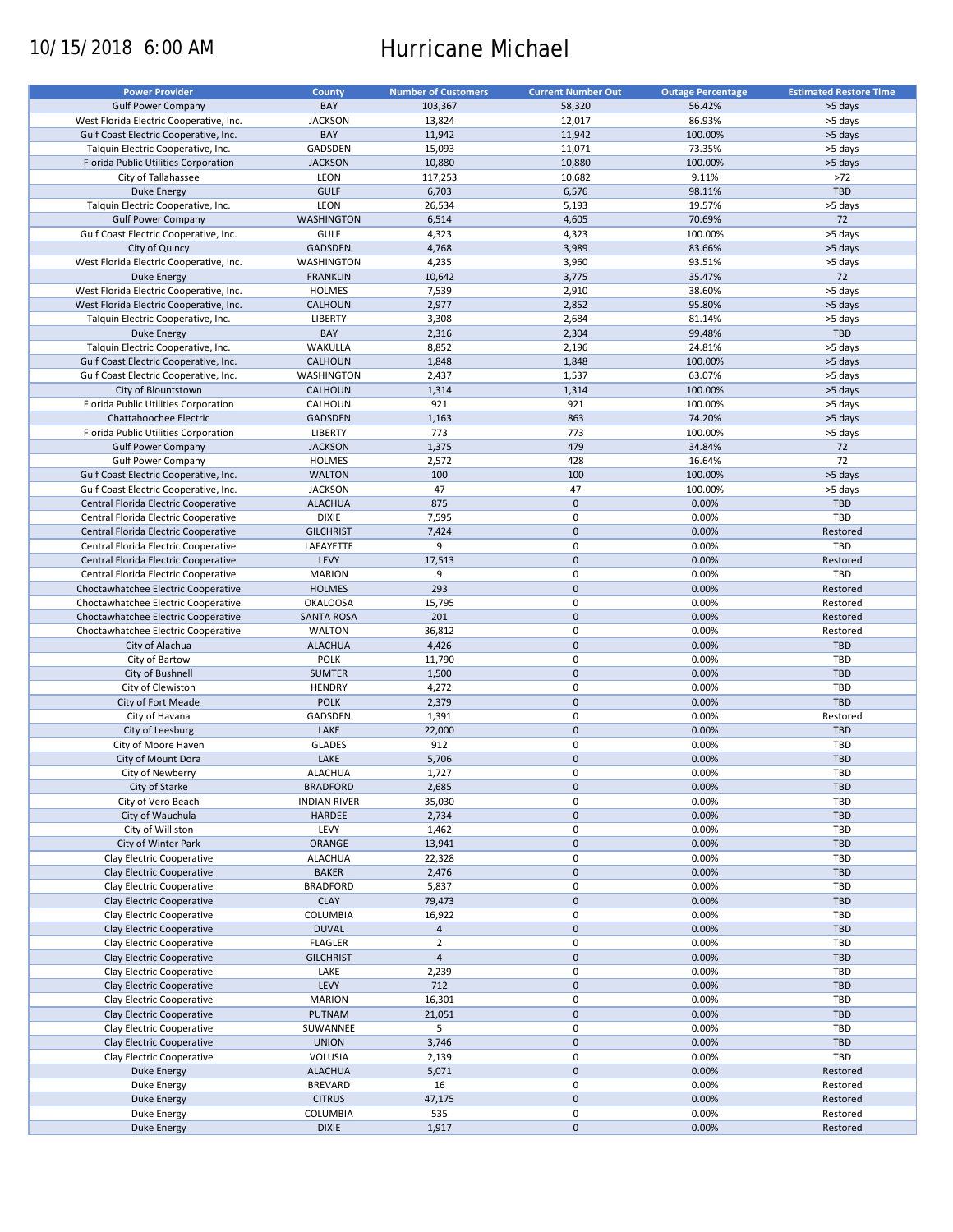# 10/15/2018 6:00 AM Hurricane Michael

| <b>Power Provider</b>                   | <b>County</b>       | <b>Number of Customers</b> | <b>Current Number Out</b> | <b>Outage Percentage</b> | <b>Estimated Restore Time</b> |
|-----------------------------------------|---------------------|----------------------------|---------------------------|--------------------------|-------------------------------|
| <b>Gulf Power Company</b>               | BAY                 | 103,367                    | 58,320                    | 56.42%                   | >5 days                       |
|                                         | <b>JACKSON</b>      | 13,824                     | 12,017                    | 86.93%                   | >5 days                       |
| West Florida Electric Cooperative, Inc. | BAY                 |                            |                           |                          |                               |
| Gulf Coast Electric Cooperative, Inc.   |                     | 11,942                     | 11,942                    | 100.00%                  | >5 days                       |
| Talquin Electric Cooperative, Inc.      | GADSDEN             | 15,093                     | 11,071                    | 73.35%                   | >5 days                       |
| Florida Public Utilities Corporation    | <b>JACKSON</b>      | 10,880                     | 10,880                    | 100.00%                  | >5 days                       |
| City of Tallahassee                     | LEON                | 117,253                    | 10,682                    | 9.11%                    | $>72$                         |
| <b>Duke Energy</b>                      | <b>GULF</b>         | 6,703                      | 6,576                     | 98.11%                   | <b>TBD</b>                    |
| Talquin Electric Cooperative, Inc.      | LEON                | 26,534                     | 5,193                     | 19.57%                   | >5 days                       |
| <b>Gulf Power Company</b>               | <b>WASHINGTON</b>   | 6,514                      | 4,605                     | 70.69%                   | 72                            |
| Gulf Coast Electric Cooperative, Inc.   | GULF                | 4,323                      | 4,323                     | 100.00%                  | >5 days                       |
| City of Quincy                          | GADSDEN             | 4,768                      | 3,989                     | 83.66%                   | >5 days                       |
| West Florida Electric Cooperative, Inc. | WASHINGTON          | 4,235                      | 3,960                     | 93.51%                   | >5 days                       |
| <b>Duke Energy</b>                      | <b>FRANKLIN</b>     | 10,642                     | 3,775                     | 35.47%                   | 72                            |
| West Florida Electric Cooperative, Inc. | <b>HOLMES</b>       | 7,539                      | 2,910                     | 38.60%                   | >5 days                       |
| West Florida Electric Cooperative, Inc. | CALHOUN             | 2,977                      | 2,852                     | 95.80%                   | >5 days                       |
| Talquin Electric Cooperative, Inc.      | LIBERTY             | 3,308                      | 2,684                     | 81.14%                   | >5 days                       |
| <b>Duke Energy</b>                      | BAY                 | 2,316                      | 2,304                     | 99.48%                   | <b>TBD</b>                    |
| Talquin Electric Cooperative, Inc.      | WAKULLA             | 8,852                      | 2,196                     | 24.81%                   | >5 days                       |
| Gulf Coast Electric Cooperative, Inc.   | CALHOUN             | 1,848                      | 1,848                     | 100.00%                  | >5 days                       |
|                                         | <b>WASHINGTON</b>   |                            |                           |                          | >5 days                       |
| Gulf Coast Electric Cooperative, Inc.   |                     | 2,437                      | 1,537                     | 63.07%                   |                               |
| City of Blountstown                     | <b>CALHOUN</b>      | 1,314                      | 1,314                     | 100.00%                  | >5 days                       |
| Florida Public Utilities Corporation    | CALHOUN             | 921                        | 921                       | 100.00%                  | >5 days                       |
| Chattahoochee Electric                  | <b>GADSDEN</b>      | 1,163                      | 863                       | 74.20%                   | >5 days                       |
| Florida Public Utilities Corporation    | <b>LIBERTY</b>      | 773                        | 773                       | 100.00%                  | >5 days                       |
| <b>Gulf Power Company</b>               | <b>JACKSON</b>      | 1,375                      | 479                       | 34.84%                   | 72                            |
| <b>Gulf Power Company</b>               | <b>HOLMES</b>       | 2,572                      | 428                       | 16.64%                   | 72                            |
| Gulf Coast Electric Cooperative, Inc.   | <b>WALTON</b>       | 100                        | 100                       | 100.00%                  | >5 days                       |
| Gulf Coast Electric Cooperative, Inc.   | <b>JACKSON</b>      | 47                         | 47                        | 100.00%                  | >5 days                       |
| Central Florida Electric Cooperative    | <b>ALACHUA</b>      | 875                        | $\mathbf 0$               | 0.00%                    | <b>TBD</b>                    |
| Central Florida Electric Cooperative    | <b>DIXIE</b>        | 7,595                      | 0                         | 0.00%                    | TBD                           |
| Central Florida Electric Cooperative    | <b>GILCHRIST</b>    | 7,424                      | $\mathbf 0$               | 0.00%                    | Restored                      |
| Central Florida Electric Cooperative    | LAFAYETTE           | 9                          | 0                         | 0.00%                    | TBD                           |
|                                         | LEVY                | 17,513                     | $\mathbf 0$               | 0.00%                    | Restored                      |
| Central Florida Electric Cooperative    |                     |                            |                           |                          |                               |
| Central Florida Electric Cooperative    | <b>MARION</b>       | 9                          | $\pmb{0}$                 | 0.00%                    | TBD                           |
| Choctawhatchee Electric Cooperative     | <b>HOLMES</b>       | 293                        | $\pmb{0}$                 | 0.00%                    | Restored                      |
| Choctawhatchee Electric Cooperative     | <b>OKALOOSA</b>     | 15,795                     | $\pmb{0}$                 | 0.00%                    | Restored                      |
| Choctawhatchee Electric Cooperative     | <b>SANTA ROSA</b>   | 201                        | $\mathbf 0$               | 0.00%                    | Restored                      |
| Choctawhatchee Electric Cooperative     | <b>WALTON</b>       | 36,812                     | $\pmb{0}$                 | 0.00%                    | Restored                      |
| City of Alachua                         | <b>ALACHUA</b>      | 4,426                      | $\mathbf 0$               | 0.00%                    | <b>TBD</b>                    |
| City of Bartow                          | <b>POLK</b>         | 11,790                     | 0                         | 0.00%                    | TBD                           |
| City of Bushnell                        | <b>SUMTER</b>       | 1,500                      | $\pmb{0}$                 | 0.00%                    | <b>TBD</b>                    |
| City of Clewiston                       | <b>HENDRY</b>       | 4,272                      | $\pmb{0}$                 | 0.00%                    | <b>TBD</b>                    |
| City of Fort Meade                      | <b>POLK</b>         | 2,379                      | $\mathbf 0$               | 0.00%                    | <b>TBD</b>                    |
| City of Havana                          | GADSDEN             | 1,391                      | $\pmb{0}$                 | 0.00%                    | Restored                      |
| City of Leesburg                        | LAKE                | 22,000                     | $\mathbf 0$               | 0.00%                    | <b>TBD</b>                    |
| City of Moore Haven                     | <b>GLADES</b>       | 912                        | $\pmb{0}$                 | 0.00%                    | <b>TBD</b>                    |
|                                         | LAKE                |                            | $\mathbf 0$               |                          |                               |
| City of Mount Dora                      |                     | 5,706                      | $\Omega$                  | 0.00%                    | <b>TBD</b>                    |
| City of Newberry                        | <b>ALACHUA</b>      | 1,727                      |                           | 0.00%                    | TBD                           |
| City of Starke                          | <b>BRADFORD</b>     | 2,685                      | $\pmb{0}$                 | 0.00%                    | TBD                           |
| City of Vero Beach                      | <b>INDIAN RIVER</b> | 35,030                     | 0                         | 0.00%                    | TBD                           |
| City of Wauchula                        | <b>HARDEE</b>       | 2,734                      | $\mathsf{O}\xspace$       | 0.00%                    | TBD                           |
| City of Williston                       | LEVY                | 1,462                      | 0                         | 0.00%                    | TBD                           |
| City of Winter Park                     | ORANGE              | 13,941                     | $\pmb{0}$                 | 0.00%                    | <b>TBD</b>                    |
| Clay Electric Cooperative               | <b>ALACHUA</b>      | 22,328                     | 0                         | 0.00%                    | TBD                           |
| Clay Electric Cooperative               | <b>BAKER</b>        | 2,476                      | $\pmb{0}$                 | 0.00%                    | TBD                           |
| Clay Electric Cooperative               | <b>BRADFORD</b>     | 5,837                      | $\pmb{0}$                 | 0.00%                    | TBD                           |
| Clay Electric Cooperative               | <b>CLAY</b>         | 79,473                     | $\pmb{0}$                 | 0.00%                    | <b>TBD</b>                    |
| Clay Electric Cooperative               | <b>COLUMBIA</b>     | 16,922                     | 0                         | 0.00%                    | TBD                           |
| Clay Electric Cooperative               | <b>DUVAL</b>        | $\overline{4}$             | $\pmb{0}$                 | 0.00%                    | TBD                           |
| Clay Electric Cooperative               | <b>FLAGLER</b>      | $\overline{2}$             | $\pmb{0}$                 | 0.00%                    | TBD                           |
| Clay Electric Cooperative               | <b>GILCHRIST</b>    | $\sqrt{4}$                 | $\pmb{0}$                 | 0.00%                    | TBD                           |
|                                         |                     |                            |                           |                          |                               |
| Clay Electric Cooperative               | LAKE                | 2,239                      | 0                         | 0.00%                    | TBD                           |
| Clay Electric Cooperative               | LEVY                | 712                        | $\pmb{0}$                 | 0.00%                    | TBD                           |
| Clay Electric Cooperative               | <b>MARION</b>       | 16,301                     | $\pmb{0}$                 | 0.00%                    | TBD                           |
| Clay Electric Cooperative               | PUTNAM              | 21,051                     | $\pmb{0}$                 | 0.00%                    | <b>TBD</b>                    |
| Clay Electric Cooperative               | SUWANNEE            | 5                          | 0                         | 0.00%                    | TBD                           |
| Clay Electric Cooperative               | <b>UNION</b>        | 3,746                      | $\pmb{0}$                 | 0.00%                    | <b>TBD</b>                    |
| Clay Electric Cooperative               | VOLUSIA             | 2,139                      | 0                         | 0.00%                    | TBD                           |
| Duke Energy                             | <b>ALACHUA</b>      | 5,071                      | $\pmb{0}$                 | 0.00%                    | Restored                      |
| Duke Energy                             | <b>BREVARD</b>      | 16                         | 0                         | 0.00%                    | Restored                      |
| <b>Duke Energy</b>                      | <b>CITRUS</b>       | 47,175                     | $\pmb{0}$                 | 0.00%                    | Restored                      |
| Duke Energy                             | <b>COLUMBIA</b>     | 535                        | 0                         | 0.00%                    | Restored                      |
| <b>Duke Energy</b>                      | <b>DIXIE</b>        | 1,917                      | $\pmb{0}$                 | 0.00%                    | Restored                      |
|                                         |                     |                            |                           |                          |                               |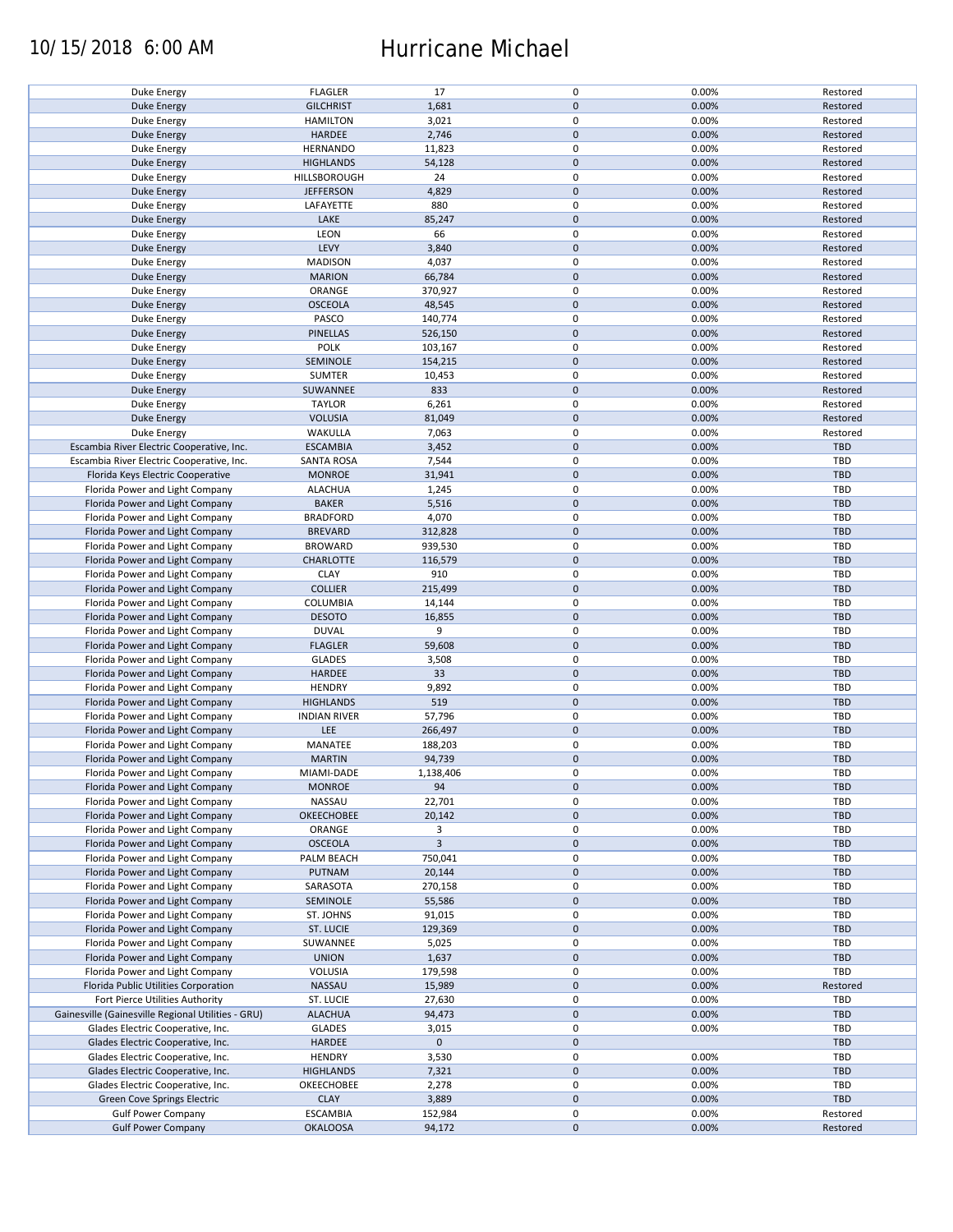### 10/15/2018 6:00 AM Hurricane Michael

| Duke Energy                                        | <b>FLAGLER</b>      | 17             | $\pmb{0}$   | 0.00% | Restored   |
|----------------------------------------------------|---------------------|----------------|-------------|-------|------------|
| <b>Duke Energy</b>                                 | <b>GILCHRIST</b>    | 1,681          | $\mathbf 0$ | 0.00% | Restored   |
| Duke Energy                                        | <b>HAMILTON</b>     | 3,021          | 0           | 0.00% | Restored   |
| <b>Duke Energy</b>                                 | <b>HARDEE</b>       | 2,746          | $\mathbf 0$ | 0.00% | Restored   |
|                                                    |                     |                |             |       |            |
| Duke Energy                                        | <b>HERNANDO</b>     | 11,823         | $\pmb{0}$   | 0.00% | Restored   |
| <b>Duke Energy</b>                                 | <b>HIGHLANDS</b>    | 54,128         | $\mathbf 0$ | 0.00% | Restored   |
| Duke Energy                                        | HILLSBOROUGH        | 24             | $\pmb{0}$   | 0.00% | Restored   |
| <b>Duke Energy</b>                                 | <b>JEFFERSON</b>    | 4,829          | $\mathbf 0$ | 0.00% | Restored   |
|                                                    |                     |                |             |       |            |
| Duke Energy                                        | LAFAYETTE           | 880            | $\pmb{0}$   | 0.00% | Restored   |
| <b>Duke Energy</b>                                 | LAKE                | 85,247         | $\mathbf 0$ | 0.00% | Restored   |
| Duke Energy                                        | LEON                | 66             | 0           | 0.00% | Restored   |
| <b>Duke Energy</b>                                 | LEVY                | 3,840          | $\mathbf 0$ | 0.00% | Restored   |
|                                                    |                     |                |             |       |            |
| Duke Energy                                        | <b>MADISON</b>      | 4,037          | $\pmb{0}$   | 0.00% | Restored   |
| <b>Duke Energy</b>                                 | <b>MARION</b>       | 66,784         | $\mathbf 0$ | 0.00% | Restored   |
| Duke Energy                                        | ORANGE              | 370,927        | $\pmb{0}$   | 0.00% | Restored   |
|                                                    | <b>OSCEOLA</b>      |                | $\pmb{0}$   | 0.00% |            |
| <b>Duke Energy</b>                                 |                     | 48,545         |             |       | Restored   |
| Duke Energy                                        | PASCO               | 140,774        | $\pmb{0}$   | 0.00% | Restored   |
| <b>Duke Energy</b>                                 | <b>PINELLAS</b>     | 526,150        | $\pmb{0}$   | 0.00% | Restored   |
| <b>Duke Energy</b>                                 | <b>POLK</b>         | 103,167        | 0           | 0.00% | Restored   |
|                                                    |                     |                |             |       |            |
| <b>Duke Energy</b>                                 | SEMINOLE            | 154,215        | $\pmb{0}$   | 0.00% | Restored   |
| Duke Energy                                        | <b>SUMTER</b>       | 10,453         | $\pmb{0}$   | 0.00% | Restored   |
| <b>Duke Energy</b>                                 | SUWANNEE            | 833            | $\pmb{0}$   | 0.00% | Restored   |
| Duke Energy                                        | <b>TAYLOR</b>       | 6,261          | 0           | 0.00% | Restored   |
|                                                    |                     |                |             |       |            |
| <b>Duke Energy</b>                                 | <b>VOLUSIA</b>      | 81,049         | $\pmb{0}$   | 0.00% | Restored   |
| Duke Energy                                        | WAKULLA             | 7,063          | $\pmb{0}$   | 0.00% | Restored   |
| Escambia River Electric Cooperative, Inc.          | <b>ESCAMBIA</b>     | 3,452          | $\pmb{0}$   | 0.00% | <b>TBD</b> |
|                                                    |                     |                |             |       |            |
| Escambia River Electric Cooperative, Inc.          | <b>SANTA ROSA</b>   | 7,544          | 0           | 0.00% | TBD        |
| Florida Keys Electric Cooperative                  | <b>MONROE</b>       | 31,941         | $\mathbf 0$ | 0.00% | <b>TBD</b> |
| Florida Power and Light Company                    | <b>ALACHUA</b>      | 1,245          | $\pmb{0}$   | 0.00% | <b>TBD</b> |
|                                                    |                     |                |             |       |            |
| Florida Power and Light Company                    | <b>BAKER</b>        | 5,516          | $\mathbf 0$ | 0.00% | <b>TBD</b> |
| Florida Power and Light Company                    | <b>BRADFORD</b>     | 4,070          | 0           | 0.00% | TBD        |
| Florida Power and Light Company                    | <b>BREVARD</b>      | 312,828        | $\mathbf 0$ | 0.00% | <b>TBD</b> |
| Florida Power and Light Company                    | <b>BROWARD</b>      | 939,530        | $\pmb{0}$   | 0.00% | TBD        |
|                                                    |                     |                |             |       |            |
| Florida Power and Light Company                    | CHARLOTTE           | 116,579        | $\pmb{0}$   | 0.00% | <b>TBD</b> |
| Florida Power and Light Company                    | <b>CLAY</b>         | 910            | 0           | 0.00% | TBD        |
| Florida Power and Light Company                    | <b>COLLIER</b>      | 215,499        | $\pmb{0}$   | 0.00% | <b>TBD</b> |
|                                                    |                     |                |             |       |            |
| Florida Power and Light Company                    | COLUMBIA            | 14,144         | $\pmb{0}$   | 0.00% | TBD        |
| Florida Power and Light Company                    | <b>DESOTO</b>       | 16,855         | $\mathbf 0$ | 0.00% | <b>TBD</b> |
| Florida Power and Light Company                    | <b>DUVAL</b>        | 9              | $\pmb{0}$   | 0.00% | TBD        |
| Florida Power and Light Company                    | <b>FLAGLER</b>      | 59,608         | $\mathbf 0$ | 0.00% | <b>TBD</b> |
|                                                    |                     |                |             |       |            |
| Florida Power and Light Company                    | <b>GLADES</b>       | 3,508          | $\pmb{0}$   | 0.00% | TBD        |
| Florida Power and Light Company                    | <b>HARDEE</b>       | 33             | $\mathbf 0$ | 0.00% | <b>TBD</b> |
| Florida Power and Light Company                    | <b>HENDRY</b>       | 9,892          | $\pmb{0}$   | 0.00% | <b>TBD</b> |
|                                                    |                     |                |             |       |            |
| Florida Power and Light Company                    | <b>HIGHLANDS</b>    | 519            | $\mathbf 0$ | 0.00% | <b>TBD</b> |
| Florida Power and Light Company                    | <b>INDIAN RIVER</b> | 57,796         | 0           | 0.00% | <b>TBD</b> |
| Florida Power and Light Company                    | LEE                 | 266,497        | $\mathbf 0$ | 0.00% | <b>TBD</b> |
| Florida Power and Light Company                    | MANATEE             | 188,203        | $\pmb{0}$   |       | <b>TBD</b> |
|                                                    |                     |                |             | 0.00% |            |
| Florida Power and Light Company                    | <b>MARTIN</b>       | 94,739         | $\mathbf 0$ | 0.00% | <b>TBD</b> |
| Florida Power and Light Company                    | MIAMI-DADE          | 1,138,406      | $\mathbf 0$ | 0.00% | TBD        |
| Florida Power and Light Company                    | <b>MONROE</b>       | 94             | $\mathbf 0$ | 0.00% | <b>TBD</b> |
|                                                    |                     |                |             |       |            |
| Florida Power and Light Company                    | NASSAU              | 22,701         | 0           | 0.00% | TBD        |
| Florida Power and Light Company                    | OKEECHOBEE          | 20,142         | $\mathbf 0$ | 0.00% | <b>TBD</b> |
| Florida Power and Light Company                    | ORANGE              | 3              | 0           | 0.00% | TBD        |
| Florida Power and Light Company                    |                     | $\overline{3}$ | $\mathbf 0$ |       | <b>TBD</b> |
|                                                    | <b>OSCEOLA</b>      |                |             | 0.00% |            |
| Florida Power and Light Company                    | PALM BEACH          | 750,041        | 0           | 0.00% | TBD        |
| Florida Power and Light Company                    | PUTNAM              | 20,144         | $\mathbf 0$ | 0.00% | <b>TBD</b> |
| Florida Power and Light Company                    | SARASOTA            | 270,158        | 0           | 0.00% | TBD        |
|                                                    |                     |                |             |       |            |
| Florida Power and Light Company                    | SEMINOLE            | 55,586         | $\pmb{0}$   | 0.00% | <b>TBD</b> |
| Florida Power and Light Company                    | ST. JOHNS           | 91,015         | 0           | 0.00% | TBD        |
| Florida Power and Light Company                    | ST. LUCIE           | 129,369        | $\mathbf 0$ | 0.00% | <b>TBD</b> |
|                                                    |                     |                |             |       |            |
| Florida Power and Light Company                    | SUWANNEE            | 5,025          | $\pmb{0}$   | 0.00% | TBD        |
| Florida Power and Light Company                    | <b>UNION</b>        | 1,637          | $\mathbf 0$ | 0.00% | <b>TBD</b> |
| Florida Power and Light Company                    | VOLUSIA             | 179,598        | $\pmb{0}$   | 0.00% | TBD        |
| Florida Public Utilities Corporation               | NASSAU              | 15,989         | $\pmb{0}$   | 0.00% | Restored   |
|                                                    |                     |                |             |       |            |
| Fort Pierce Utilities Authority                    | ST. LUCIE           | 27,630         | $\pmb{0}$   | 0.00% | TBD        |
| Gainesville (Gainesville Regional Utilities - GRU) | <b>ALACHUA</b>      | 94,473         | $\mathbf 0$ | 0.00% | <b>TBD</b> |
| Glades Electric Cooperative, Inc.                  | <b>GLADES</b>       | 3,015          | $\pmb{0}$   | 0.00% | TBD        |
|                                                    |                     |                |             |       |            |
| Glades Electric Cooperative, Inc.                  | HARDEE              | $\mathbf 0$    | $\pmb{0}$   |       | <b>TBD</b> |
| Glades Electric Cooperative, Inc.                  | <b>HENDRY</b>       | 3,530          | $\pmb{0}$   | 0.00% | TBD        |
| Glades Electric Cooperative, Inc.                  | <b>HIGHLANDS</b>    | 7,321          | $\pmb{0}$   | 0.00% | <b>TBD</b> |
| Glades Electric Cooperative, Inc.                  | OKEECHOBEE          | 2,278          | $\pmb{0}$   | 0.00% | TBD        |
|                                                    |                     |                |             |       |            |
| Green Cove Springs Electric                        | <b>CLAY</b>         | 3,889          | $\pmb{0}$   | 0.00% | <b>TBD</b> |
| <b>Gulf Power Company</b>                          | <b>ESCAMBIA</b>     | 152,984        | $\pmb{0}$   | 0.00% | Restored   |
| <b>Gulf Power Company</b>                          | <b>OKALOOSA</b>     | 94,172         | $\pmb{0}$   | 0.00% | Restored   |
|                                                    |                     |                |             |       |            |